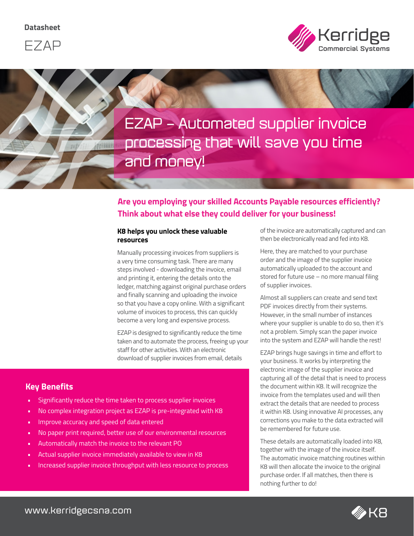



**EZAP – Automated supplier invoice processing that will save you time and money!**

## **Are you employing your skilled Accounts Payable resources efficiently? Think about what else they could deliver for your business!**

#### **K8 helps you unlock these valuable resources**

Manually processing invoices from suppliers is a very time consuming task. There are many steps involved - downloading the invoice, email and printing it, entering the details onto the ledger, matching against original purchase orders and finally scanning and uploading the invoice so that you have a copy online. With a significant volume of invoices to process, this can quickly become a very long and expensive process.

EZAP is designed to significantly reduce the time taken and to automate the process, freeing up your staff for other activities. With an electronic download of supplier invoices from email, details

### **Key Benefits**

- Significantly reduce the time taken to process supplier invoices
- No complex integration project as EZAP is pre-integrated with K8
- Improve accuracy and speed of data entered

**ATTERIES** 

- No paper print required, better use of our environmental resources
- Automatically match the invoice to the relevant PO
- Actual supplier invoice immediately available to view in K8
- Increased supplier invoice throughput with less resource to process

of the invoice are automatically captured and can then be electronically read and fed into K8.

Here, they are matched to your purchase order and the image of the supplier invoice automatically uploaded to the account and stored for future use – no more manual filing of supplier invoices.

Almost all suppliers can create and send text PDF invoices directly from their systems. However, in the small number of instances where your supplier is unable to do so, then it's not a problem. Simply scan the paper invoice into the system and EZAP will handle the rest!

EZAP brings huge savings in time and effort to your business. It works by interpreting the electronic image of the supplier invoice and capturing all of the detail that is need to process the document within K8. It will recognize the invoice from the templates used and will then extract the details that are needed to process it within K8. Using innovative AI processes, any corrections you make to the data extracted will be remembered for future use.

These details are automatically loaded into K8, together with the image of the invoice itself. The automatic invoice matching routines within K8 will then allocate the invoice to the original purchase order. If all matches, then there is nothing further to do!